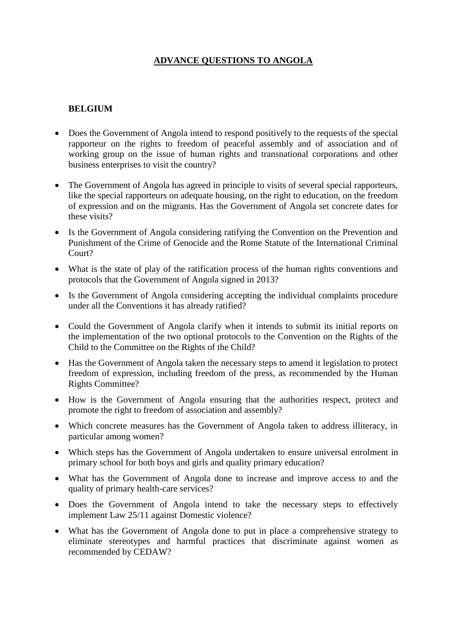# **ADVANCE QUESTIONS TO ANGOLA**

### **BELGIUM**

- Does the Government of Angola intend to respond positively to the requests of the special rapporteur on the rights to freedom of peaceful assembly and of association and of working group on the issue of human rights and transnational corporations and other business enterprises to visit the country?
- The Government of Angola has agreed in principle to visits of several special rapporteurs, like the special rapporteurs on adequate housing, on the right to education, on the freedom of expression and on the migrants. Has the Government of Angola set concrete dates for these visits?
- Is the Government of Angola considering ratifying the Convention on the Prevention and Punishment of the Crime of Genocide and the Rome Statute of the International Criminal Court?
- What is the state of play of the ratification process of the human rights conventions and protocols that the Government of Angola signed in 2013?
- Is the Government of Angola considering accepting the individual complaints procedure under all the Conventions it has already ratified?
- Could the Government of Angola clarify when it intends to submit its initial reports on the implementation of the two optional protocols to the Convention on the Rights of the Child to the Committee on the Rights of the Child?
- Has the Government of Angola taken the necessary steps to amend it legislation to protect freedom of expression, including freedom of the press, as recommended by the Human Rights Committee?
- How is the Government of Angola ensuring that the authorities respect, protect and promote the right to freedom of association and assembly?
- Which concrete measures has the Government of Angola taken to address illiteracy, in particular among women?
- Which steps has the Government of Angola undertaken to ensure universal enrolment in primary school for both boys and girls and quality primary education?
- What has the Government of Angola done to increase and improve access to and the quality of primary health-care services?
- Does the Government of Angola intend to take the necessary steps to effectively implement Law 25/11 against Domestic violence?
- What has the Government of Angola done to put in place a comprehensive strategy to eliminate stereotypes and harmful practices that discriminate against women as recommended by CEDAW?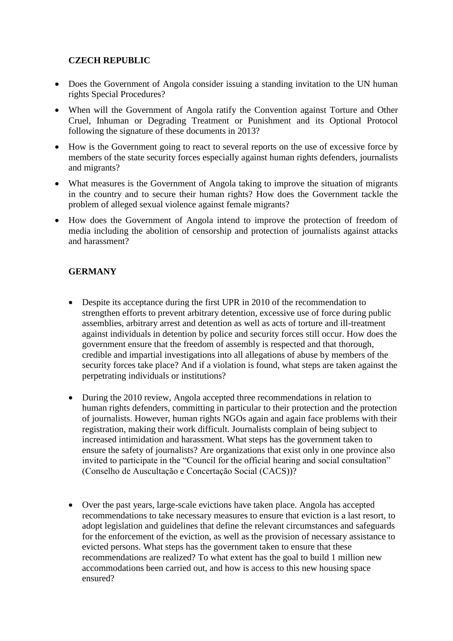## **CZECH REPUBLIC**

- Does the Government of Angola consider issuing a standing invitation to the UN human rights Special Procedures?
- When will the Government of Angola ratify the Convention against Torture and Other Cruel, Inhuman or Degrading Treatment or Punishment and its Optional Protocol following the signature of these documents in 2013?
- How is the Government going to react to several reports on the use of excessive force by members of the state security forces especially against human rights defenders, journalists and migrants?
- What measures is the Government of Angola taking to improve the situation of migrants in the country and to secure their human rights? How does the Government tackle the problem of alleged sexual violence against female migrants?
- How does the Government of Angola intend to improve the protection of freedom of media including the abolition of censorship and protection of journalists against attacks and harassment?

## **GERMANY**

- Despite its acceptance during the first UPR in 2010 of the recommendation to strengthen efforts to prevent arbitrary detention, excessive use of force during public assemblies, arbitrary arrest and detention as well as acts of torture and ill-treatment against individuals in detention by police and security forces still occur. How does the government ensure that the freedom of assembly is respected and that thorough, credible and impartial investigations into all allegations of abuse by members of the security forces take place? And if a violation is found, what steps are taken against the perpetrating individuals or institutions?
- During the 2010 review, Angola accepted three recommendations in relation to human rights defenders, committing in particular to their protection and the protection of journalists. However, human rights NGOs again and again face problems with their registration, making their work difficult. Journalists complain of being subject to increased intimidation and harassment. What steps has the government taken to ensure the safety of journalists? Are organizations that exist only in one province also invited to participate in the "Council for the official hearing and social consultation" (Conselho de Auscultaçăo e Concertaçăo Social (CACS))?
- Over the past years, large-scale evictions have taken place. Angola has accepted recommendations to take necessary measures to ensure that eviction is a last resort, to adopt legislation and guidelines that define the relevant circumstances and safeguards for the enforcement of the eviction, as well as the provision of necessary assistance to evicted persons. What steps has the government taken to ensure that these recommendations are realized? To what extent has the goal to build 1 million new accommodations been carried out, and how is access to this new housing space ensured?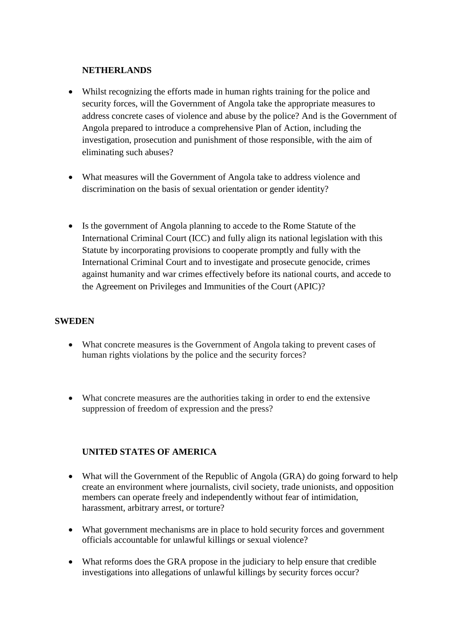#### **NETHERLANDS**

- Whilst recognizing the efforts made in human rights training for the police and security forces, will the Government of Angola take the appropriate measures to address concrete cases of violence and abuse by the police? And is the Government of Angola prepared to introduce a comprehensive Plan of Action, including the investigation, prosecution and punishment of those responsible, with the aim of eliminating such abuses?
- What measures will the Government of Angola take to address violence and discrimination on the basis of sexual orientation or gender identity?
- Is the government of Angola planning to accede to the Rome Statute of the International Criminal Court (ICC) and fully align its national legislation with this Statute by incorporating provisions to cooperate promptly and fully with the International Criminal Court and to investigate and prosecute genocide, crimes against humanity and war crimes effectively before its national courts, and accede to the Agreement on Privileges and Immunities of the Court (APIC)?

#### **SWEDEN**

- What concrete measures is the Government of Angola taking to prevent cases of human rights violations by the police and the security forces?
- What concrete measures are the authorities taking in order to end the extensive suppression of freedom of expression and the press?

### **UNITED STATES OF AMERICA**

- What will the Government of the Republic of Angola (GRA) do going forward to help create an environment where journalists, civil society, trade unionists, and opposition members can operate freely and independently without fear of intimidation, harassment, arbitrary arrest, or torture?
- What government mechanisms are in place to hold security forces and government officials accountable for unlawful killings or sexual violence?
- What reforms does the GRA propose in the judiciary to help ensure that credible investigations into allegations of unlawful killings by security forces occur?